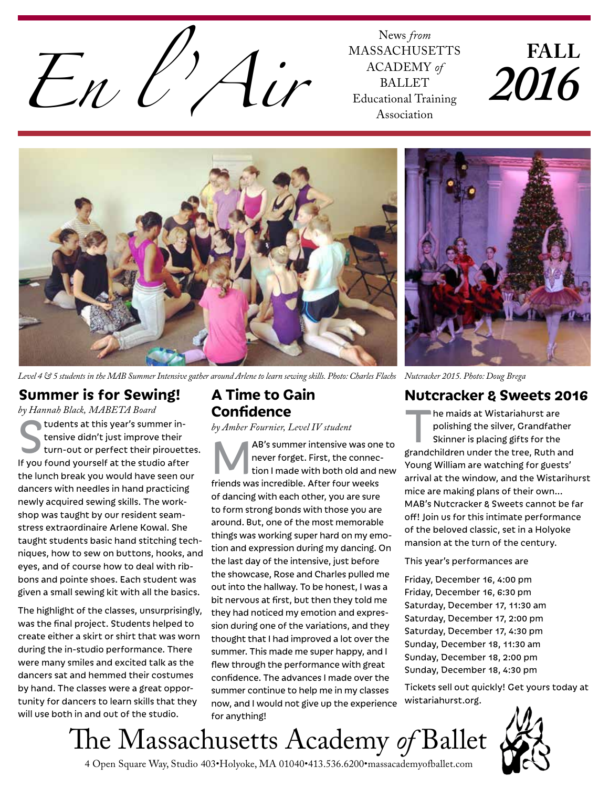

MASSACHUSETTS ACADEMY *of* BALLET Educational Training Association

# **FALL** *2016*



*Level 4 & 5 students in the MAB Summer Intensive gather around Arlene to learn sewing skills. Photo: Charles Flachs*

# **Summer is for Sewing!**

*by Hannah Black, MABETA Board* Students at this year's summer in-<br>tensive didn't just improve their<br>turn-out or perfect their pirouet tensive didn't just improve their turn-out or perfect their pirouettes. If you found yourself at the studio after the lunch break you would have seen our dancers with needles in hand practicing newly acquired sewing skills. The workshop was taught by our resident seamstress extraordinaire Arlene Kowal. She taught students basic hand stitching techniques, how to sew on buttons, hooks, and eyes, and of course how to deal with ribbons and pointe shoes. Each student was given a small sewing kit with all the basics.

The highlight of the classes, unsurprisingly, was the final project. Students helped to create either a skirt or shirt that was worn during the in-studio performance. There were many smiles and excited talk as the dancers sat and hemmed their costumes by hand. The classes were a great opportunity for dancers to learn skills that they will use both in and out of the studio.

### **A Time to Gain Confidence**

*by Amber Fournier, Level IV student*

MAB's summer intensive was one to never forget. First, the connection I made with both old and new friends was incredible. After four weeks of dancing with each other, you are sure to form strong bonds with those you are around. But, one of the most memorable things was working super hard on my emotion and expression during my dancing. On the last day of the intensive, just before the showcase, Rose and Charles pulled me out into the hallway. To be honest, I was a bit nervous at first, but then they told me they had noticed my emotion and expression during one of the variations, and they thought that I had improved a lot over the summer. This made me super happy, and I flew through the performance with great confidence. The advances I made over the summer continue to help me in my classes now, and I would not give up the experience for anything!

*Nutcracker 2015. Photo: Doug Brega*

#### **Nutcracker & Sweets 2016**

The maids at Wistariahurst are<br>polishing the silver, Grandfath<br>Skinner is placing gifts for the<br>standabildren under the tree. Buth a polishing the silver, Grandfather Skinner is placing gifts for the grandchildren under the tree, Ruth and Young William are watching for guests' arrival at the window, and the Wistarihurst mice are making plans of their own... MAB's Nutcracker & Sweets cannot be far off! Join us for this intimate performance of the beloved classic, set in a Holyoke mansion at the turn of the century.

This year's performances are

Friday, December 16, 4:00 pm Friday, December 16, 6:30 pm Saturday, December 17, 11:30 am Saturday, December 17, 2:00 pm Saturday, December 17, 4:30 pm Sunday, December 18, 11:30 am Sunday, December 18, 2:00 pm Sunday, December 18, 4:30 pm

Tickets sell out quickly! Get yours today at wistariahurst.org.



4 Open Square Way, Studio 403•Holyoke, MA 01040•413.536.6200•massacademyofballet.com The Massachusetts Academy *of* Ballet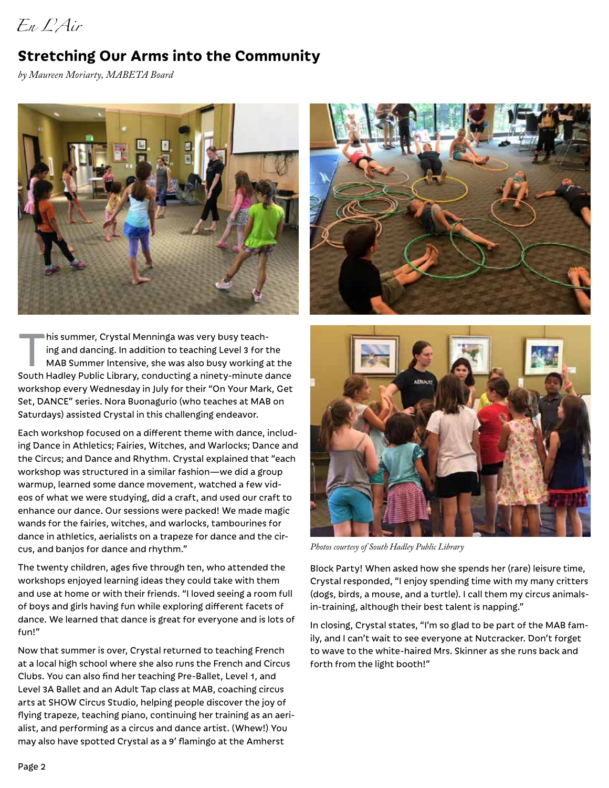*En L'Air*

# **Stretching Our Arms into the Community**

*by Maureen Moriarty, MABETA Board*



his summer, Crystal Menninga was very busy teaching and dancing. In addition to teaching Level 3 for the MAB Summer Intensive, she was also busy working at the South Hadley Public Library, conducting a ninety-minute dance workshop every Wednesday in July for their "On Your Mark, Get Set, DANCE" series. Nora Buonagurio (who teaches at MAB on Saturdays) assisted Crystal in this challenging endeavor.

Each workshop focused on a different theme with dance, including Dance in Athletics; Fairies, Witches, and Warlocks; Dance and the Circus; and Dance and Rhythm. Crystal explained that "each workshop was structured in a similar fashion—we did a group warmup, learned some dance movement, watched a few videos of what we were studying, did a craft, and used our craft to enhance our dance. Our sessions were packed! We made magic wands for the fairies, witches, and warlocks, tambourines for dance in athletics, aerialists on a trapeze for dance and the circus, and banjos for dance and rhythm."

The twenty children, ages five through ten, who attended the workshops enjoyed learning ideas they could take with them and use at home or with their friends. "I loved seeing a room full of boys and girls having fun while exploring different facets of dance. We learned that dance is great for everyone and is lots of fun!"

Now that summer is over, Crystal returned to teaching French at a local high school where she also runs the French and Circus Clubs. You can also find her teaching Pre-Ballet, Level 1, and Level 3A Ballet and an Adult Tap class at MAB, coaching circus arts at SHOW Circus Studio, helping people discover the joy of flying trapeze, teaching piano, continuing her training as an aerialist, and performing as a circus and dance artist. (Whew!) You may also have spotted Crystal as a 9' flamingo at the Amherst





*Photos courtesy of South Hadley Public Library*

Block Party! When asked how she spends her (rare) leisure time, Crystal responded, "I enjoy spending time with my many critters (dogs, birds, a mouse, and a turtle). I call them my circus animalsin-training, although their best talent is napping."

In closing, Crystal states, "I'm so glad to be part of the MAB family, and I can't wait to see everyone at Nutcracker. Don't forget to wave to the white-haired Mrs. Skinner as she runs back and forth from the light booth!"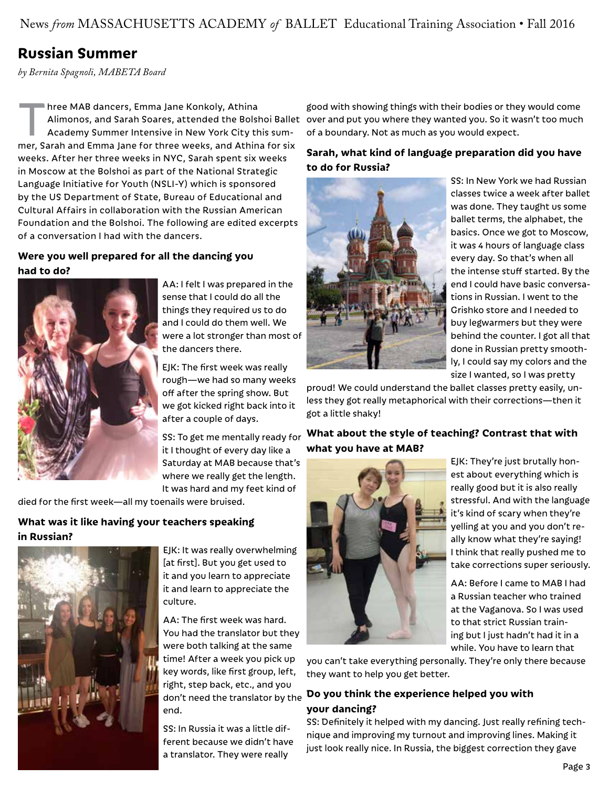News *from* MASSACHUSETTS ACADEMY *of* BALLET Educational Training Association • Fall 2016

# **Russian Summer**

*by Bernita Spagnoli, MABETA Board*

Three MAB dancers, Emma Jane Konkoly, Athina<br>Alimonos, and Sarah Soares, attended the Bolsh<br>Academy Summer Intensive in New York City the<br>mag Sarah and Emma Jane for three weeks and Athin Academy Summer Intensive in New York City this summer, Sarah and Emma Jane for three weeks, and Athina for six weeks. After her three weeks in NYC, Sarah spent six weeks in Moscow at the Bolshoi as part of the National Strategic Language Initiative for Youth (NSLI-Y) which is sponsored by the US Department of State, Bureau of Educational and Cultural Affairs in collaboration with the Russian American Foundation and the Bolshoi. The following are edited excerpts of a conversation I had with the dancers.

#### **Were you well prepared for all the dancing you had to do?**



AA: I felt I was prepared in the sense that I could do all the things they required us to do and I could do them well. We were a lot stronger than most of the dancers there.

EJK: The first week was really rough—we had so many weeks off after the spring show. But we got kicked right back into it after a couple of days.

SS: To get me mentally ready for it I thought of every day like a Saturday at MAB because that's where we really get the length. It was hard and my feet kind of

died for the first week—all my toenails were bruised.

#### **What was it like having your teachers speaking in Russian?**



EJK: It was really overwhelming [at first]. But you get used to it and you learn to appreciate it and learn to appreciate the culture.

AA: The first week was hard. You had the translator but they were both talking at the same time! After a week you pick up key words, like first group, left, right, step back, etc., and you end.

SS: In Russia it was a little different because we didn't have a translator. They were really

Alimonos, and Sarah Soares, attended the Bolshoi Ballet over and put you where they wanted you. So it wasn't too much good with showing things with their bodies or they would come of a boundary. Not as much as you would expect.

#### **Sarah, what kind of language preparation did you have to do for Russia?**



SS: In New York we had Russian classes twice a week after ballet was done. They taught us some ballet terms, the alphabet, the basics. Once we got to Moscow, it was 4 hours of language class every day. So that's when all the intense stuff started. By the end I could have basic conversations in Russian. I went to the Grishko store and I needed to buy legwarmers but they were behind the counter. I got all that done in Russian pretty smoothly, I could say my colors and the size I wanted, so I was pretty

proud! We could understand the ballet classes pretty easily, unless they got really metaphorical with their corrections—then it got a little shaky!

#### **What about the style of teaching? Contrast that with what you have at MAB?**



EJK: They're just brutally honest about everything which is really good but it is also really stressful. And with the language it's kind of scary when they're yelling at you and you don't really know what they're saying! I think that really pushed me to take corrections super seriously.

AA: Before I came to MAB I had a Russian teacher who trained at the Vaganova. So I was used to that strict Russian training but I just hadn't had it in a while. You have to learn that

you can't take everything personally. They're only there because they want to help you get better.

#### don't need the translator by the **Do you think the experience helped you with your dancing?**

SS: Definitely it helped with my dancing. Just really refining technique and improving my turnout and improving lines. Making it just look really nice. In Russia, the biggest correction they gave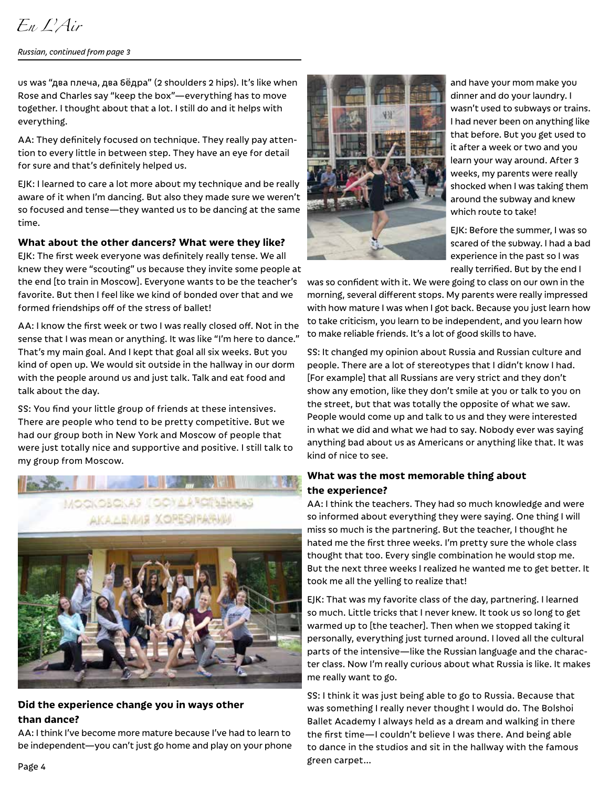# *En L'Air*

#### *Russian, continued from page 3*

us was "два плечa, два б**ё**дра" (2 shoulders 2 hips). It's like when Rose and Charles say "keep the box"—everything has to move together. I thought about that a lot. I still do and it helps with everything.

AA: They definitely focused on technique. They really pay attention to every little in between step. They have an eye for detail for sure and that's definitely helped us.

EJK: I learned to care a lot more about my technique and be really aware of it when I'm dancing. But also they made sure we weren't so focused and tense—they wanted us to be dancing at the same time.

#### **What about the other dancers? What were they like?**

EJK: The first week everyone was definitely really tense. We all knew they were "scouting" us because they invite some people at the end [to train in Moscow]. Everyone wants to be the teacher's favorite. But then I feel like we kind of bonded over that and we formed friendships off of the stress of ballet!

AA: I know the first week or two I was really closed off. Not in the sense that I was mean or anything. It was like "I'm here to dance." That's my main goal. And I kept that goal all six weeks. But you kind of open up. We would sit outside in the hallway in our dorm with the people around us and just talk. Talk and eat food and talk about the day.

SS: You find your little group of friends at these intensives. There are people who tend to be pretty competitive. But we had our group both in New York and Moscow of people that were just totally nice and supportive and positive. I still talk to my group from Moscow.



#### **Did the experience change you in ways other than dance?**

AA: I think I've become more mature because I've had to learn to be independent—you can't just go home and play on your phone



and have your mom make you dinner and do your laundry. I wasn't used to subways or trains. I had never been on anything like that before. But you get used to it after a week or two and you learn your way around. After 3 weeks, my parents were really shocked when I was taking them around the subway and knew which route to take!

EJK: Before the summer, I was so scared of the subway. I had a bad experience in the past so I was really terrified. But by the end I

was so confident with it. We were going to class on our own in the morning, several different stops. My parents were really impressed with how mature I was when I got back. Because you just learn how to take criticism, you learn to be independent, and you learn how to make reliable friends. It's a lot of good skills to have.

SS: It changed my opinion about Russia and Russian culture and people. There are a lot of stereotypes that I didn't know I had. [For example] that all Russians are very strict and they don't show any emotion, like they don't smile at you or talk to you on the street, but that was totally the opposite of what we saw. People would come up and talk to us and they were interested in what we did and what we had to say. Nobody ever was saying anything bad about us as Americans or anything like that. It was kind of nice to see.

#### **What was the most memorable thing about the experience?**

AA: I think the teachers. They had so much knowledge and were so informed about everything they were saying. One thing I will miss so much is the partnering. But the teacher, I thought he hated me the first three weeks. I'm pretty sure the whole class thought that too. Every single combination he would stop me. But the next three weeks I realized he wanted me to get better. It took me all the yelling to realize that!

EJK: That was my favorite class of the day, partnering. I learned so much. Little tricks that I never knew. It took us so long to get warmed up to [the teacher]. Then when we stopped taking it personally, everything just turned around. I loved all the cultural parts of the intensive—like the Russian language and the character class. Now I'm really curious about what Russia is like. It makes me really want to go.

SS: I think it was just being able to go to Russia. Because that was something I really never thought I would do. The Bolshoi Ballet Academy I always held as a dream and walking in there the first time—I couldn't believe I was there. And being able to dance in the studios and sit in the hallway with the famous green carpet…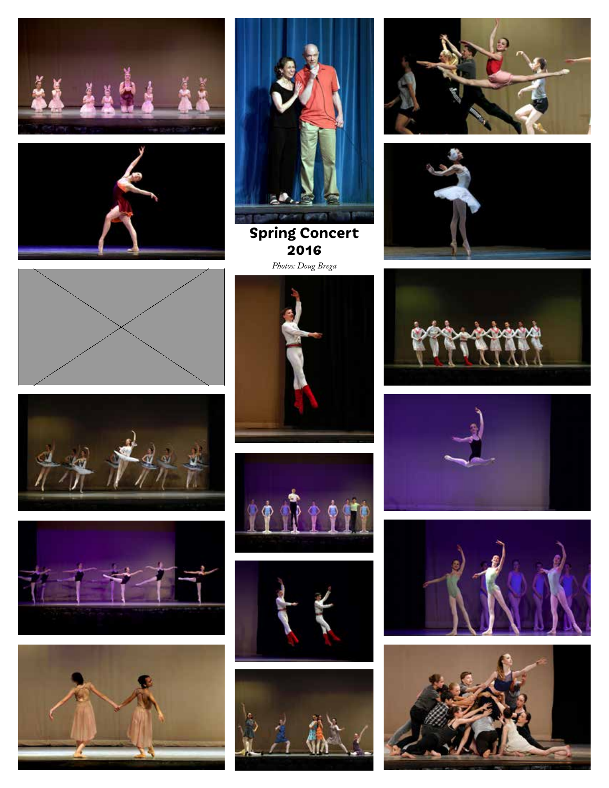





**Spring Concert 2016** *Photos: Doug Brega*



























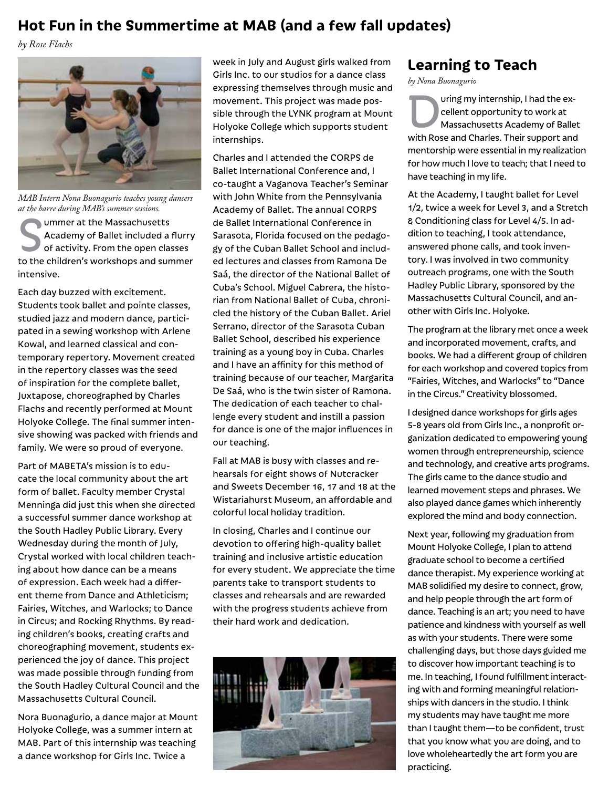# **Hot Fun in the Summertime at MAB (and a few fall updates)**

*by Rose Flachs*



*MAB Intern Nona Buonagurio teaches young dancers at the barre during MAB's summer sessions.*

I ummer at the Massachusetts Academy of Ballet included a flurry of activity. From the open classes to the children's workshops and summer intensive.

Each day buzzed with excitement. Students took ballet and pointe classes, studied jazz and modern dance, participated in a sewing workshop with Arlene Kowal, and learned classical and contemporary repertory. Movement created in the repertory classes was the seed of inspiration for the complete ballet, Juxtapose, choreographed by Charles Flachs and recently performed at Mount Holyoke College. The final summer intensive showing was packed with friends and family. We were so proud of everyone.

Part of MABETA's mission is to educate the local community about the art form of ballet. Faculty member Crystal Menninga did just this when she directed a successful summer dance workshop at the South Hadley Public Library. Every Wednesday during the month of July, Crystal worked with local children teaching about how dance can be a means of expression. Each week had a different theme from Dance and Athleticism; Fairies, Witches, and Warlocks; to Dance in Circus; and Rocking Rhythms. By reading children's books, creating crafts and choreographing movement, students experienced the joy of dance. This project was made possible through funding from the South Hadley Cultural Council and the Massachusetts Cultural Council.

Nora Buonagurio, a dance major at Mount Holyoke College, was a summer intern at MAB. Part of this internship was teaching a dance workshop for Girls Inc. Twice a

week in July and August girls walked from Girls Inc. to our studios for a dance class expressing themselves through music and movement. This project was made possible through the LYNK program at Mount Holyoke College which supports student internships.

Charles and I attended the CORPS de Ballet International Conference and, I co-taught a Vaganova Teacher's Seminar with John White from the Pennsylvania Academy of Ballet. The annual CORPS de Ballet International Conference in Sarasota, Florida focused on the pedagogy of the Cuban Ballet School and included lectures and classes from Ramona De Saá, the director of the National Ballet of Cuba's School. Miguel Cabrera, the historian from National Ballet of Cuba, chronicled the history of the Cuban Ballet. Ariel Serrano, director of the Sarasota Cuban Ballet School, described his experience training as a young boy in Cuba. Charles and I have an affinity for this method of training because of our teacher, Margarita De Saá, who is the twin sister of Ramona. The dedication of each teacher to challenge every student and instill a passion for dance is one of the major influences in our teaching.

Fall at MAB is busy with classes and rehearsals for eight shows of Nutcracker and Sweets December 16, 17 and 18 at the Wistariahurst Museum, an affordable and colorful local holiday tradition.

In closing, Charles and I continue our devotion to offering high-quality ballet training and inclusive artistic education for every student. We appreciate the time parents take to transport students to classes and rehearsals and are rewarded with the progress students achieve from their hard work and dedication.



#### **Learning to Teach**

*by Nona Buonagurio*

uring my internship, I had the excellent opportunity to work at Massachusetts Academy of Ballet with Rose and Charles. Their support and mentorship were essential in my realization for how much I love to teach; that I need to have teaching in my life.

At the Academy, I taught ballet for Level 1/2, twice a week for Level 3, and a Stretch & Conditioning class for Level 4/5. In addition to teaching, I took attendance, answered phone calls, and took inventory. I was involved in two community outreach programs, one with the South Hadley Public Library, sponsored by the Massachusetts Cultural Council, and another with Girls Inc. Holyoke.

The program at the library met once a week and incorporated movement, crafts, and books. We had a different group of children for each workshop and covered topics from "Fairies, Witches, and Warlocks" to "Dance in the Circus." Creativity blossomed.

I designed dance workshops for girls ages 5-8 years old from Girls Inc., a nonprofit organization dedicated to empowering young women through entrepreneurship, science and technology, and creative arts programs. The girls came to the dance studio and learned movement steps and phrases. We also played dance games which inherently explored the mind and body connection.

Next year, following my graduation from Mount Holyoke College, I plan to attend graduate school to become a certified dance therapist. My experience working at MAB solidified my desire to connect, grow, and help people through the art form of dance. Teaching is an art; you need to have patience and kindness with yourself as well as with your students. There were some challenging days, but those days guided me to discover how important teaching is to me. In teaching, I found fulfillment interacting with and forming meaningful relationships with dancers in the studio. I think my students may have taught me more than I taught them—to be confident, trust that you know what you are doing, and to love wholeheartedly the art form you are practicing.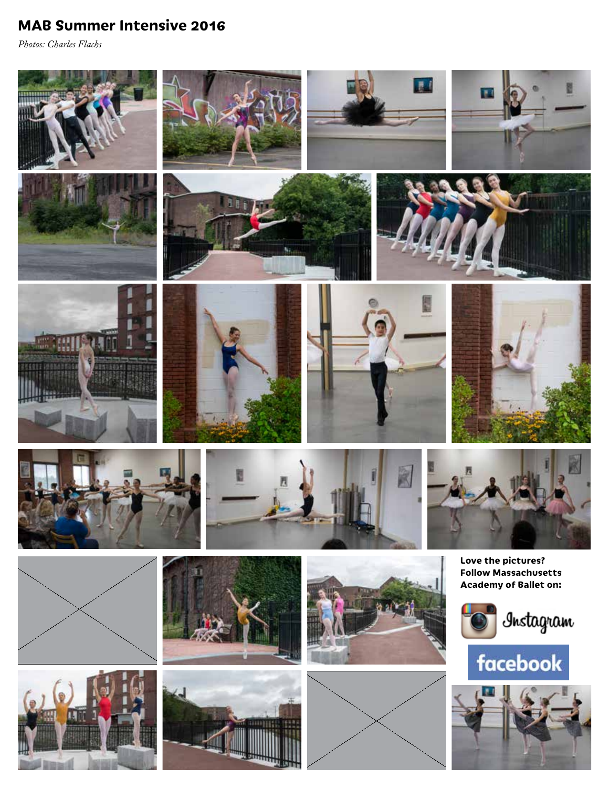# **MAB Summer Intensive 2016**

*Photos: Charles Flachs*